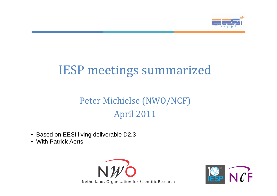

# IESP meetings summarized

## Peter Michielse (NWO/NCF) April 2011

- Based on EESI living deliverable D2.3
- With Patrick Aerts



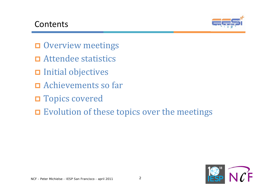#### Contents



- **Overview meetings**
- Attendee statistics
- □ Initial objectives
- **□** Achievements so far
- □ Topics covered
- **Exolution of these topics over the meetings**

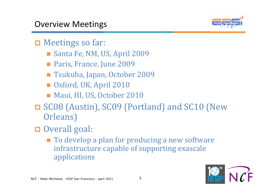

#### **D** Meetings so far:

- Santa Fe, NM, US, April 2009
- **Paris, France, June 2009**
- Tsukuba, Japan, October 2009
- Oxford, UK, April 2010
- Maui, HI, US, October 2010
- SC08 (Austin), SC09 (Portland) and SC10 (New Orleans)
- Overall goal:
	- To develop a plan for producing a new software infrastructure capable of supporting exascale applications

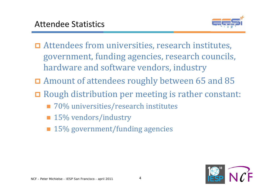

- **□** Attendees from universities, research institutes, government, funding agencies, research councils, hardware and software vendors, industry
- Amount of attendees roughly between 65 and 85
- Rough distribution per meeting is rather constant:
	- 70% universities/research institutes
	- 15% vendors/industry
	- 15% government/funding agencies

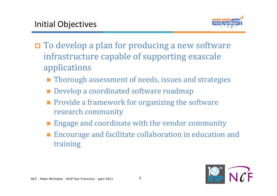

- □ To develop a plan for producing a new software infrastructure capable of supporting exascale applications
	- **Thorough assessment of needs, issues and strategies**
	- **Develop a coordinated software roadmap**
	- **Provide a framework for organizing the software** research community
	- **Engage and coordinate with the vendor community**
	- **Encourage and facilitate collaboration in education and** training

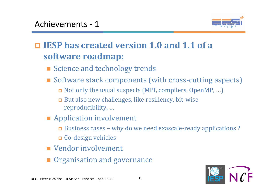

## **IESP has created version 1.0 and 1.1 of <sup>a</sup> software roadmap:**

- Science and technology trends
- Software stack components (with cross-cutting aspects)
	- Not only the usual suspects (MPI, compilers, OpenMP, …)

 But also new challenges, like resiliency, bit‐wise reproducibility, …

- **Application involvement** 
	- Business cases why do we need exascale‐ready applications ?
	- □ Co-design vehicles
- **Vendor involvement**
- **Organisation and governance**

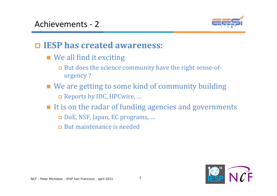

#### **IESP has created awareness:**

- We all find it exciting
	- But does the science community have the right sense‐of‐ urgency ?
- We are getting to some kind of community building Reports by IDC, HPCwire, …
- It is on the radar of funding agencies and governments
	- DoE, NSF, Japan, EC programs, …
	- **But maintenance is needed**

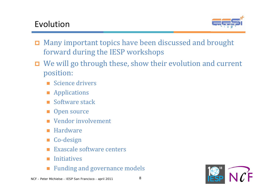#### Evolution



- Many important topics have been discussed and brought forward during the IESP workshops
- We will go through these, show their evolution and current position:
	- $\mathcal{L}_{\mathcal{A}}$ Science drivers
	- **Applications**
	- Г Software stack
	- Open source
	- Г Vendor involvement
	- F Hardware
	- Г Co‐design
	- Г Exascale software centers
	- F Initiatives
	- Г Funding and governance models



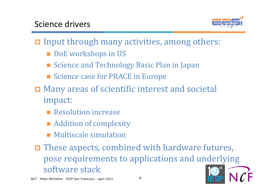

□ Input through many activities, among others:

- **DoE** workshops in US
- **Science and Technology Basic Plan in Japan**
- Science case for PRACE in Europe
- Many areas of scientific interest and societal impact:
	- **Resolution increase**
	- **Addition of complexity**
	- **Multiscale simulation**
- □ These aspects, combined with hardware futures, pose requirements to applications and underlying software stack

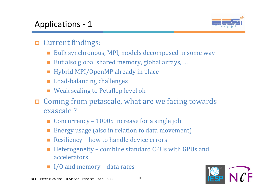

- **O** Current findings:
	- П Bulk synchronous, MPI, models decomposed in some way
	- Г But also global shared memory, global arrays, …
	- Hybrid MPI/OpenMP already in place
	- П Load‐balancing challenges
	- Г Weak scaling to Petaflop level ok
- **□ Coming from petascale, what are we facing towards** exascale ?
	- Г Concurrency – 1000x increase for a single job
	- F Energy usage (also in relation to data movement)
	- Г Resiliency – how to handle device errors
	- Г Heterogeneity – combine standard CPUs with GPUs and accelerators
	- I/O and memory data rates

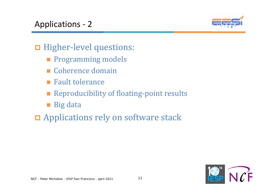#### Applications ‐ 2



#### □ Higher-level questions:

- **Programming models**
- Coherence domain
- **Fault tolerance**
- Reproducibility of floating-point results
- Big data
- **D** Applications rely on software stack

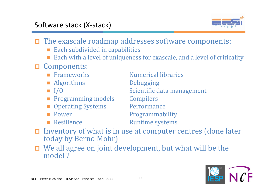

- The exascale roadmap addresses software components:
	- $\blacksquare$  Each subdivided in capabilities
	- П Each with a level of uniqueness for exascale, and a level of criticality
- **□ Components:** 
	- **F** Frameworks
	- **Algorithms** Debugging
	- П
	- **Programming models Compilers**
	- П **Operating Systems Performance**
	- $\blacksquare$  Power
	- **Resilience**
- Numerical libraries
- 
- I/O Scientific data management
	-
	- - Programmability
	- Runtime systems
- Inventory of what is in use at computer centres (done later today by Bernd Mohr)
- We all agree on joint development, but what will be the model ?

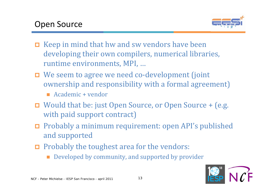

- $\Box$  Keep in mind that hw and sw vendors have been developing their own compilers, numerical libraries, runtime environments, MPI, …
- We seem to agree we need co-development (joint ownership and responsibility with a formal agreement)
	- Academic + vendor
- □ Would that be: just Open Source, or Open Source + (e.g. with paid support contract)
- Probably a minimum requirement: open API's published and supported
- $\Box$  Probably the toughest area for the vendors:
	- Г Developed by community, and supported by provider

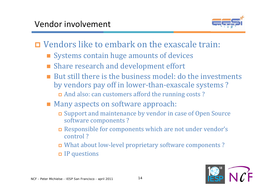

#### Vendors like to embark on the exascale train:

- Systems contain huge amounts of devices
- **Share research and development effort**
- But still there is the business model: do the investments by vendors pay off in lower-than-exascale systems? And also: can customers afford the running costs ?
- **Many aspects on software approach:** 
	- Support and maintenance by vendor in case of Open Source software components ?
	- Responsible for components which are not under vendor's control ?
	- What about low‐level proprietary software components ?
	- IP questions

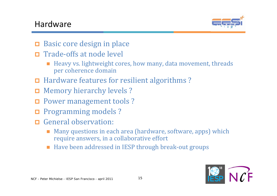#### Hardware



- О Basic core design in place
- **□** Trade-offs at node level
	- Heavy vs. lightweight cores, how many, data movement, threads per coherence domain
- □ Hardware features for resilient algorithms?
- **D** Memory hierarchy levels?
- **D** Power management tools ?
- $\Box$ Programming models ?
- General observation:
	- Г Many questions in each area (hardware, software, apps) which require answers, in a collaborative effort
	- Have been addressed in IESP through break-out groups

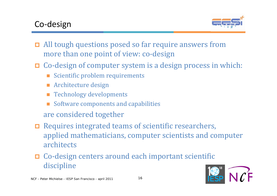

- □ All tough questions posed so far require answers from more than one point of view: co-design
- □ Co-design of computer system is a design process in which:
	- **Scientific problem requirements**
	- **Architecture design**
	- Technology developments
	- П Software components and capabilities
	- are considered together
- Requires integrated teams of scientific researchers, applied mathematicians, computer scientists and computer architects
- □ Co-design centers around each important scientific discipline

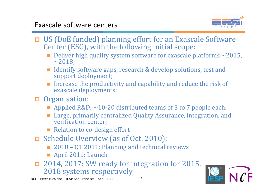

- US (DoE funded) planning effort for an Exascale Software Center (ESC), with the following initial scope:
	- Deliver high quality system software for exascale platforms  $\sim$  2015,  $\sim$  2018;
	- Identify software gaps, research & develop solutions, test and support deployment;
	- **Increase the productivity and capability and reduce the risk of** exascale deployments;
- **Organisation:** 
	- Applied R&D:  $\sim$ 10-20 distributed teams of 3 to 7 people each;
	- Large, primarily centralized Quality Assurance, integration, and verification center;
	- Relation to co-design effort
- □ Schedule Overview (as of Oct. 2010):
	- 2010 Q1 2011: Planning and technical reviews
	- April 2011: Launch
- □ 2014, 2017: SW ready for integration for 2015, 2018 systems respectively



NCF - Peter Michielse - IESP San Francisco - april 2011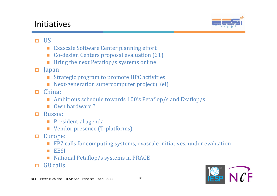#### Initiatives



#### **□** US

- **Exascale Software Center planning effort**
- Co-design Centers proposal evaluation (21)
- × Bring the next Petaflop/s systems online

#### □ Japan

- × Strategic program to promote HPC activities
- Next-generation supercomputer project (Kei)
- п China:
	- Ambitious schedule towards 100's Petaflop/s and Exaflop/s
	- **Own hardware?**
- п Russia:
	- **Presidential agenda**
	- Vendor presence (T-platforms)
- $\Box$  Europe:
	- **FP7** calls for computing systems, exascale initiatives, under evaluation
	- $\mathcal{L}_{\mathcal{A}}$ EESI
	- National Petaflop/s systems in PRACE
- G8 calls

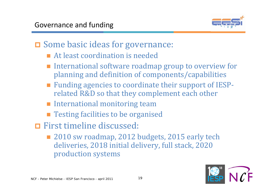

#### □ Some basic ideas for governance:

- **At least coordination is needed**
- **International software roadmap group to overview for** planning and definition of components/capabilities
- Funding agencies to coordinate their support of IESPrelated R&D so that they complement each other
- **International monitoring team**
- **Testing facilities to be organised**
- First timeline discussed:
	- 2010 sw roadmap, 2012 budgets, 2015 early tech deliveries, 2018 initial delivery, full stack, 2020 production systems